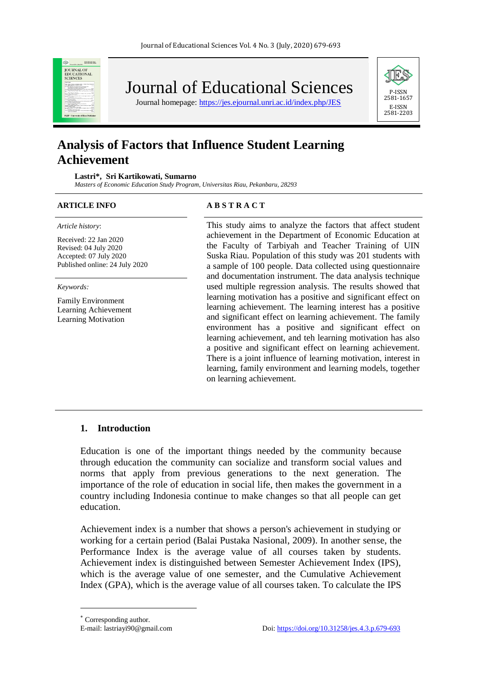

Journal of Educational Sciences

Journal homepage:<https://jes.ejournal.unri.ac.id/index.php/JES>



# **Analysis of Factors that Influence Student Learning Achievement**

**Lastri\*, Sri Kartikowati, Sumarno**

*Masters of Economic Education Study Program, Universitas Riau, Pekanbaru, 28293*

#### *Article history*:

Received: 22 Jan 2020 Revised: 04 July 2020 Accepted: 07 July 2020 Published online: 24 July 2020

*Keywords:*

Family Environment Learning Achievement Learning Motivation

#### **ARTICLE INFO A B S T R A C T**

This study aims to analyze the factors that affect student achievement in the Department of Economic Education at the Faculty of Tarbiyah and Teacher Training of UIN Suska Riau. Population of this study was 201 students with a sample of 100 people. Data collected using questionnaire and documentation instrument. The data analysis technique used multiple regression analysis. The results showed that learning motivation has a positive and significant effect on learning achievement. The learning interest has a positive and significant effect on learning achievement. The family environment has a positive and significant effect on learning achievement, and teh learning motivation has also a positive and significant effect on learning achievement. There is a joint influence of learning motivation, interest in learning, family environment and learning models, together on learning achievement.

## **1. Introduction**

Education is one of the important things needed by the community because through education the community can socialize and transform social values and norms that apply from previous generations to the next generation. The importance of the role of education in social life, then makes the government in a country including Indonesia continue to make changes so that all people can get education.

Achievement index is a number that shows a person's achievement in studying or working for a certain period (Balai Pustaka Nasional, 2009). In another sense, the Performance Index is the average value of all courses taken by students. Achievement index is distinguished between Semester Achievement Index (IPS), which is the average value of one semester, and the Cumulative Achievement Index (GPA), which is the average value of all courses taken. To calculate the IPS

l

Corresponding author.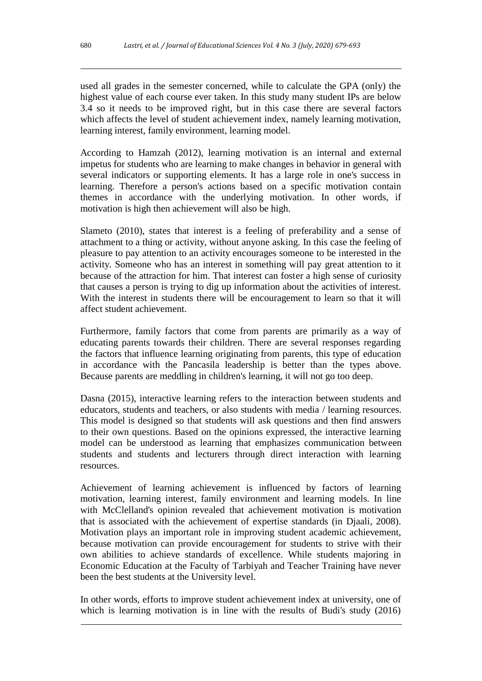used all grades in the semester concerned, while to calculate the GPA (only) the highest value of each course ever taken. In this study many student IPs are below 3.4 so it needs to be improved right, but in this case there are several factors which affects the level of student achievement index, namely learning motivation, learning interest, family environment, learning model.

According to Hamzah (2012), learning motivation is an internal and external impetus for students who are learning to make changes in behavior in general with several indicators or supporting elements. It has a large role in one's success in learning. Therefore a person's actions based on a specific motivation contain themes in accordance with the underlying motivation. In other words, if motivation is high then achievement will also be high.

Slameto (2010), states that interest is a feeling of preferability and a sense of attachment to a thing or activity, without anyone asking. In this case the feeling of pleasure to pay attention to an activity encourages someone to be interested in the activity. Someone who has an interest in something will pay great attention to it because of the attraction for him. That interest can foster a high sense of curiosity that causes a person is trying to dig up information about the activities of interest. With the interest in students there will be encouragement to learn so that it will affect student achievement.

Furthermore, family factors that come from parents are primarily as a way of educating parents towards their children. There are several responses regarding the factors that influence learning originating from parents, this type of education in accordance with the Pancasila leadership is better than the types above. Because parents are meddling in children's learning, it will not go too deep.

Dasna (2015), interactive learning refers to the interaction between students and educators, students and teachers, or also students with media / learning resources. This model is designed so that students will ask questions and then find answers to their own questions. Based on the opinions expressed, the interactive learning model can be understood as learning that emphasizes communication between students and students and lecturers through direct interaction with learning resources.

Achievement of learning achievement is influenced by factors of learning motivation, learning interest, family environment and learning models. In line with McClelland's opinion revealed that achievement motivation is motivation that is associated with the achievement of expertise standards (in Djaali, 2008). Motivation plays an important role in improving student academic achievement, because motivation can provide encouragement for students to strive with their own abilities to achieve standards of excellence. While students majoring in Economic Education at the Faculty of Tarbiyah and Teacher Training have never been the best students at the University level.

In other words, efforts to improve student achievement index at university, one of which is learning motivation is in line with the results of Budi's study (2016)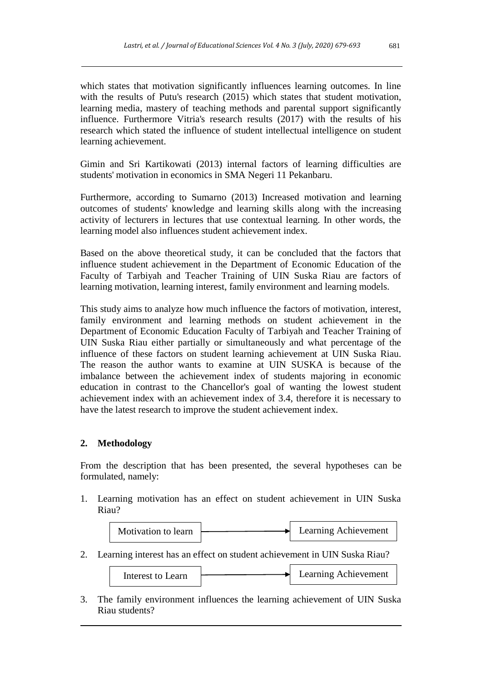which states that motivation significantly influences learning outcomes. In line with the results of Putu's research (2015) which states that student motivation, learning media, mastery of teaching methods and parental support significantly influence. Furthermore Vitria's research results (2017) with the results of his research which stated the influence of student intellectual intelligence on student learning achievement.

Gimin and Sri Kartikowati (2013) internal factors of learning difficulties are students' motivation in economics in SMA Negeri 11 Pekanbaru.

Furthermore, according to Sumarno (2013) Increased motivation and learning outcomes of students' knowledge and learning skills along with the increasing activity of lecturers in lectures that use contextual learning. In other words, the learning model also influences student achievement index.

Based on the above theoretical study, it can be concluded that the factors that influence student achievement in the Department of Economic Education of the Faculty of Tarbiyah and Teacher Training of UIN Suska Riau are factors of learning motivation, learning interest, family environment and learning models.

This study aims to analyze how much influence the factors of motivation, interest, family environment and learning methods on student achievement in the Department of Economic Education Faculty of Tarbiyah and Teacher Training of UIN Suska Riau either partially or simultaneously and what percentage of the influence of these factors on student learning achievement at UIN Suska Riau. The reason the author wants to examine at UIN SUSKA is because of the imbalance between the achievement index of students majoring in economic education in contrast to the Chancellor's goal of wanting the lowest student achievement index with an achievement index of 3.4, therefore it is necessary to have the latest research to improve the student achievement index.

# **2. Methodology**

From the description that has been presented, the several hypotheses can be formulated, namely:

1. Learning motivation has an effect on student achievement in UIN Suska Riau?



2. Learning interest has an effect on student achievement in UIN Suska Riau?

| Interest to Learn |  | Learning Achievement |
|-------------------|--|----------------------|
|-------------------|--|----------------------|

3. The family environment influences the learning achievement of UIN Suska Riau students?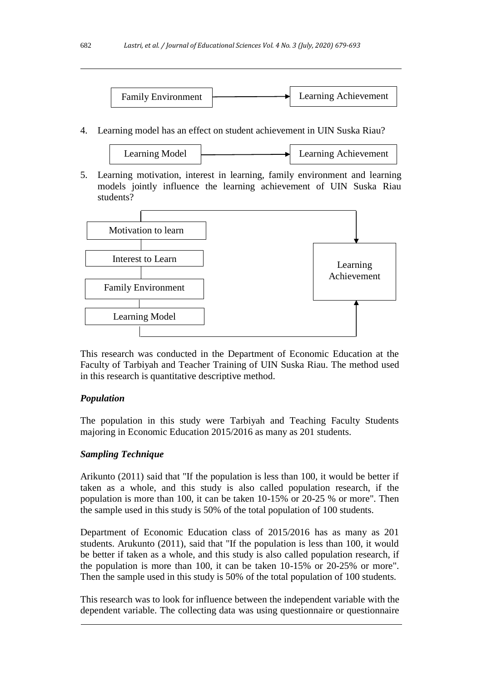

4. Learning model has an effect on student achievement in UIN Suska Riau?

Learning Model Learning Achievement

5. Learning motivation, interest in learning, family environment and learning models jointly influence the learning achievement of UIN Suska Riau students?



This research was conducted in the Department of Economic Education at the Faculty of Tarbiyah and Teacher Training of UIN Suska Riau. The method used in this research is quantitative descriptive method.

# *Population*

The population in this study were Tarbiyah and Teaching Faculty Students majoring in Economic Education 2015/2016 as many as 201 students.

# *Sampling Technique*

Arikunto (2011) said that "If the population is less than 100, it would be better if taken as a whole, and this study is also called population research, if the population is more than 100, it can be taken 10-15% or 20-25 % or more". Then the sample used in this study is 50% of the total population of 100 students.

Department of Economic Education class of 2015/2016 has as many as 201 students. Arukunto (2011), said that "If the population is less than 100, it would be better if taken as a whole, and this study is also called population research, if the population is more than 100, it can be taken 10-15% or 20-25% or more". Then the sample used in this study is 50% of the total population of 100 students.

This research was to look for influence between the independent variable with the dependent variable. The collecting data was using questionnaire or questionnaire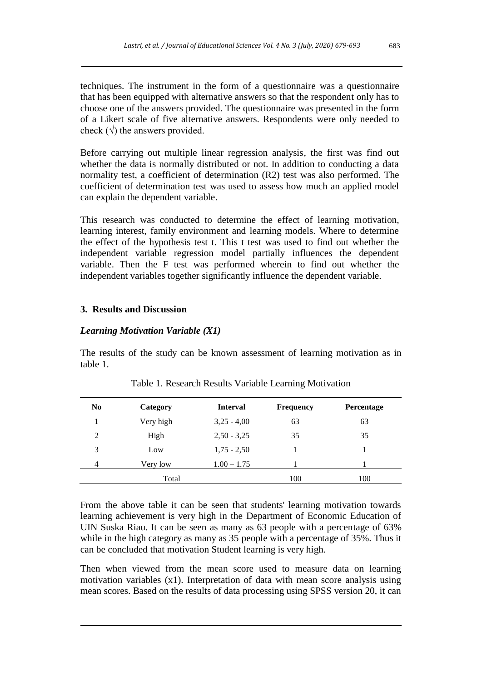techniques. The instrument in the form of a questionnaire was a questionnaire that has been equipped with alternative answers so that the respondent only has to choose one of the answers provided. The questionnaire was presented in the form of a Likert scale of five alternative answers. Respondents were only needed to check  $(\sqrt{\ })$  the answers provided.

Before carrying out multiple linear regression analysis, the first was find out whether the data is normally distributed or not. In addition to conducting a data normality test, a coefficient of determination (R2) test was also performed. The coefficient of determination test was used to assess how much an applied model can explain the dependent variable.

This research was conducted to determine the effect of learning motivation, learning interest, family environment and learning models. Where to determine the effect of the hypothesis test t. This t test was used to find out whether the independent variable regression model partially influences the dependent variable. Then the F test was performed wherein to find out whether the independent variables together significantly influence the dependent variable.

# **3. Results and Discussion**

# *Learning Motivation Variable (X1)*

The results of the study can be known assessment of learning motivation as in table 1.

| N <sub>0</sub> | Category  | <b>Interval</b> | <b>Frequency</b> | <b>Percentage</b> |
|----------------|-----------|-----------------|------------------|-------------------|
|                | Very high | $3,25 - 4,00$   | 63               | 63                |
| 2              | High      | $2,50 - 3,25$   | 35               | 35                |
| 3              | Low       | $1,75 - 2,50$   |                  |                   |
| 4              | Very low  | $1.00 - 1.75$   |                  |                   |
|                | Total     |                 | 100              | 100               |

Table 1. Research Results Variable Learning Motivation

From the above table it can be seen that students' learning motivation towards learning achievement is very high in the Department of Economic Education of UIN Suska Riau. It can be seen as many as 63 people with a percentage of 63% while in the high category as many as 35 people with a percentage of 35%. Thus it can be concluded that motivation Student learning is very high.

Then when viewed from the mean score used to measure data on learning motivation variables (x1). Interpretation of data with mean score analysis using mean scores. Based on the results of data processing using SPSS version 20, it can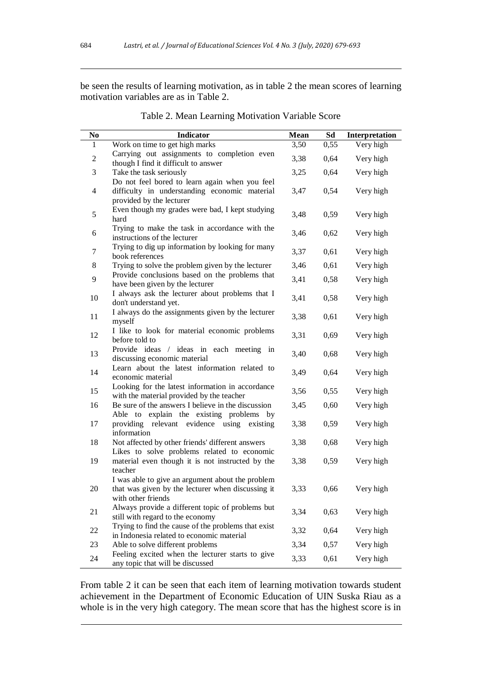be seen the results of learning motivation, as in table 2 the mean scores of learning motivation variables are as in Table 2.

| N <sub>0</sub> | Indicator                                                                                                                   | <b>Mean</b> | Sd   | Interpretation |
|----------------|-----------------------------------------------------------------------------------------------------------------------------|-------------|------|----------------|
| 1              | Work on time to get high marks                                                                                              | 3,50        | 0,55 | Very high      |
| $\sqrt{2}$     | Carrying out assignments to completion even<br>though I find it difficult to answer                                         | 3,38        | 0,64 | Very high      |
| 3              | Take the task seriously                                                                                                     | 3,25        | 0,64 | Very high      |
| $\overline{4}$ | Do not feel bored to learn again when you feel<br>difficulty in understanding economic material<br>provided by the lecturer | 3,47        | 0,54 | Very high      |
| $\mathfrak s$  | Even though my grades were bad, I kept studying<br>hard                                                                     | 3,48        | 0,59 | Very high      |
| 6              | Trying to make the task in accordance with the<br>instructions of the lecturer                                              | 3,46        | 0,62 | Very high      |
| 7              | Trying to dig up information by looking for many<br>book references                                                         | 3,37        | 0,61 | Very high      |
| 8              | Trying to solve the problem given by the lecturer                                                                           | 3,46        | 0,61 | Very high      |
| 9              | Provide conclusions based on the problems that<br>have been given by the lecturer                                           | 3,41        | 0,58 | Very high      |
| 10             | I always ask the lecturer about problems that I<br>don't understand yet.                                                    | 3,41        | 0,58 | Very high      |
| 11             | I always do the assignments given by the lecturer<br>myself                                                                 | 3,38        | 0,61 | Very high      |
| 12             | I like to look for material economic problems<br>before told to                                                             | 3,31        | 0,69 | Very high      |
| 13             | Provide ideas / ideas in each meeting<br>in<br>discussing economic material                                                 | 3,40        | 0,68 | Very high      |
| 14             | Learn about the latest information related to<br>economic material                                                          | 3,49        | 0,64 | Very high      |
| 15             | Looking for the latest information in accordance<br>with the material provided by the teacher                               | 3,56        | 0,55 | Very high      |
| 16             | Be sure of the answers I believe in the discussion<br>Able to explain the existing problems by                              | 3,45        | 0,60 | Very high      |
| 17             | providing relevant evidence using<br>existing<br>information                                                                | 3,38        | 0,59 | Very high      |
| 18             | Not affected by other friends' different answers<br>Likes to solve problems related to economic                             | 3,38        | 0,68 | Very high      |
| 19             | material even though it is not instructed by the<br>teacher                                                                 | 3,38        | 0,59 | Very high      |
| 20             | I was able to give an argument about the problem<br>that was given by the lecturer when discussing it<br>with other friends | 3,33        | 0,66 | Very high      |
| 21             | Always provide a different topic of problems but<br>still with regard to the economy                                        | 3,34        | 0,63 | Very high      |
| 22             | Trying to find the cause of the problems that exist<br>in Indonesia related to economic material                            | 3,32        | 0,64 | Very high      |
| 23             | Able to solve different problems                                                                                            | 3,34        | 0,57 | Very high      |
| 24             | Feeling excited when the lecturer starts to give<br>any topic that will be discussed                                        | 3,33        | 0,61 | Very high      |

Table 2. Mean Learning Motivation Variable Score

From table 2 it can be seen that each item of learning motivation towards student achievement in the Department of Economic Education of UIN Suska Riau as a whole is in the very high category. The mean score that has the highest score is in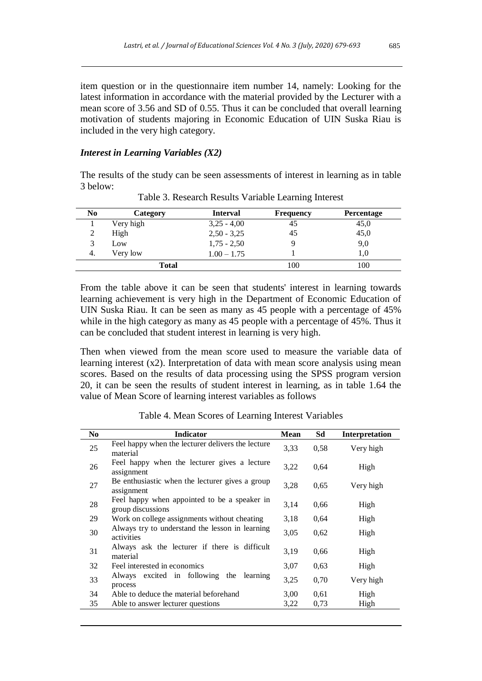item question or in the questionnaire item number 14, namely: Looking for the latest information in accordance with the material provided by the Lecturer with a mean score of 3.56 and SD of 0.55. Thus it can be concluded that overall learning motivation of students majoring in Economic Education of UIN Suska Riau is included in the very high category.

### *Interest in Learning Variables (X2)*

The results of the study can be seen assessments of interest in learning as in table 3 below:

| N <sub>0</sub> | Category     | <b>Interval</b> | <b>Frequency</b> | <b>Percentage</b> |
|----------------|--------------|-----------------|------------------|-------------------|
|                | Very high    | $3,25 - 4,00$   | 45               | 45,0              |
|                | High         | $2,50 - 3,25$   | 45               | 45,0              |
| 3              | Low          | $1,75 - 2,50$   |                  | 9,0               |
| 4.             | Very low     | $1.00 - 1.75$   |                  | 1,0               |
|                | <b>Total</b> |                 | 100              | 100               |

Table 3. Research Results Variable Learning Interest

From the table above it can be seen that students' interest in learning towards learning achievement is very high in the Department of Economic Education of UIN Suska Riau. It can be seen as many as 45 people with a percentage of 45% while in the high category as many as 45 people with a percentage of 45%. Thus it can be concluded that student interest in learning is very high.

Then when viewed from the mean score used to measure the variable data of learning interest (x2). Interpretation of data with mean score analysis using mean scores. Based on the results of data processing using the SPSS program version 20, it can be seen the results of student interest in learning, as in table 1.64 the value of Mean Score of learning interest variables as follows

Table 4. Mean Scores of Learning Interest Variables

| N <sub>0</sub> | <b>Indicator</b>                                                  | Mean | Sd   | Interpretation |
|----------------|-------------------------------------------------------------------|------|------|----------------|
| 25             | Feel happy when the lecturer delivers the lecture<br>material     | 3,33 | 0.58 | Very high      |
| 26             | Feel happy when the lecturer gives a lecture<br>assignment        | 3,22 | 0.64 | High           |
| 27             | Be enthusiastic when the lecturer gives a group<br>assignment     | 3,28 | 0.65 | Very high      |
| 28             | Feel happy when appointed to be a speaker in<br>group discussions | 3,14 | 0,66 | High           |
| 29             | Work on college assignments without cheating                      | 3.18 | 0.64 | High           |
| 30             | Always try to understand the lesson in learning<br>activities     | 3,05 | 0.62 | High           |
| 31             | Always ask the lecturer if there is difficult<br>material         | 3,19 | 0.66 | High           |
| 32             | Feel interested in economics                                      | 3,07 | 0,63 | High           |
| 33             | excited in following the<br>learning<br>Always<br>process         | 3,25 | 0,70 | Very high      |
| 34             | Able to deduce the material beforehand                            | 3,00 | 0.61 | High           |
| 35             | Able to answer lecturer questions                                 | 3,22 | 0.73 | High           |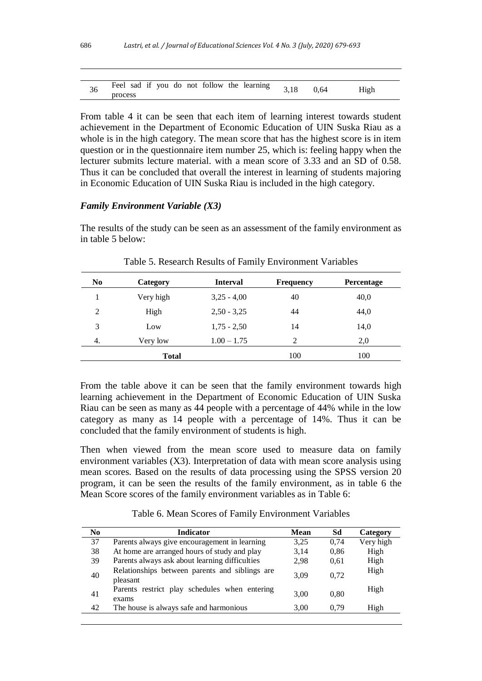| 36 | Feel sad if you do not follow the learning | 3,18 | 0.64 | High |
|----|--------------------------------------------|------|------|------|
|    | process                                    |      |      |      |

From table 4 it can be seen that each item of learning interest towards student achievement in the Department of Economic Education of UIN Suska Riau as a whole is in the high category. The mean score that has the highest score is in item question or in the questionnaire item number 25, which is: feeling happy when the lecturer submits lecture material. with a mean score of 3.33 and an SD of 0.58. Thus it can be concluded that overall the interest in learning of students majoring in Economic Education of UIN Suska Riau is included in the high category.

#### *Family Environment Variable (X3)*

The results of the study can be seen as an assessment of the family environment as in table 5 below:

| N <sub>0</sub> | Category     | <b>Interval</b> | <b>Frequency</b> | <b>Percentage</b> |
|----------------|--------------|-----------------|------------------|-------------------|
|                | Very high    | $3,25 - 4,00$   | 40               | 40,0              |
| 2              | High         | $2,50 - 3,25$   | 44               | 44,0              |
| 3              | Low          | $1,75 - 2,50$   | 14               | 14,0              |
| 4.             | Very low     | $1.00 - 1.75$   | 2                | 2,0               |
|                | <b>Total</b> |                 | 100              | 100               |

Table 5. Research Results of Family Environment Variables

From the table above it can be seen that the family environment towards high learning achievement in the Department of Economic Education of UIN Suska Riau can be seen as many as 44 people with a percentage of 44% while in the low category as many as 14 people with a percentage of 14%. Thus it can be concluded that the family environment of students is high.

Then when viewed from the mean score used to measure data on family environment variables (X3). Interpretation of data with mean score analysis using mean scores. Based on the results of data processing using the SPSS version 20 program, it can be seen the results of the family environment, as in table 6 the Mean Score scores of the family environment variables as in Table 6:

Table 6. Mean Scores of Family Environment Variables

| N <sub>0</sub> | <b>Indicator</b>                                           | <b>Mean</b> | Sd   | Category  |
|----------------|------------------------------------------------------------|-------------|------|-----------|
| 37             | Parents always give encouragement in learning              | 3.25        | 0.74 | Very high |
| 38             | At home are arranged hours of study and play               | 3,14        | 0.86 | High      |
| 39             | Parents always ask about learning difficulties             | 2.98        | 0.61 | High      |
| 40             | Relationships between parents and siblings are<br>pleasant | 3.09        | 0.72 | High      |
| 41             | Parents restrict play schedules when entering<br>exams     | 3.00        | 0.80 | High      |
| 42             | The house is always safe and harmonious                    | 3,00        | 0.79 | High      |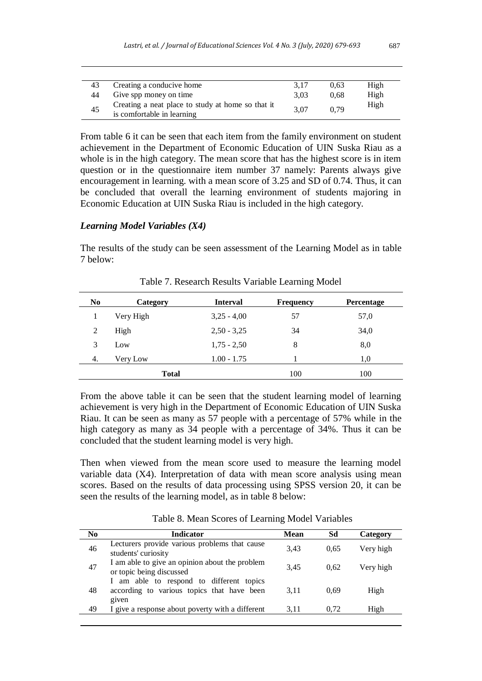| 43 | Creating a conducive home                                                       | 3.17 | 0.63 | High |
|----|---------------------------------------------------------------------------------|------|------|------|
| 44 | Give spp money on time                                                          | 3.03 | 0.68 | High |
| 45 | Creating a neat place to study at home so that it<br>is comfortable in learning | 3.07 | 0.79 | High |

From table 6 it can be seen that each item from the family environment on student achievement in the Department of Economic Education of UIN Suska Riau as a whole is in the high category. The mean score that has the highest score is in item question or in the questionnaire item number 37 namely: Parents always give encouragement in learning. with a mean score of 3.25 and SD of 0.74. Thus, it can be concluded that overall the learning environment of students majoring in Economic Education at UIN Suska Riau is included in the high category.

### *Learning Model Variables (X4)*

The results of the study can be seen assessment of the Learning Model as in table 7 below:

| N <sub>0</sub> | Category     | <b>Interval</b> | <b>Frequency</b> | <b>Percentage</b> |
|----------------|--------------|-----------------|------------------|-------------------|
|                | Very High    | $3,25 - 4,00$   | 57               | 57,0              |
| 2              | High         | $2,50 - 3,25$   | 34               | 34,0              |
| 3              | Low          | $1,75 - 2,50$   | 8                | 8,0               |
| 4.             | Very Low     | $1.00 - 1.75$   |                  | 1,0               |
|                | <b>Total</b> |                 | 100              | 100               |

Table 7. Research Results Variable Learning Model

From the above table it can be seen that the student learning model of learning achievement is very high in the Department of Economic Education of UIN Suska Riau. It can be seen as many as 57 people with a percentage of 57% while in the high category as many as 34 people with a percentage of 34%. Thus it can be concluded that the student learning model is very high.

Then when viewed from the mean score used to measure the learning model variable data (X4). Interpretation of data with mean score analysis using mean scores. Based on the results of data processing using SPSS version 20, it can be seen the results of the learning model, as in table 8 below:

| No. | <b>Indicator</b>                                                                                | <b>Mean</b> | Sd   | Category  |
|-----|-------------------------------------------------------------------------------------------------|-------------|------|-----------|
| 46  | Lecturers provide various problems that cause<br>students' curiosity                            | 3.43        | 0.65 | Very high |
| 47  | I am able to give an opinion about the problem<br>or topic being discussed                      | 3.45        | 0.62 | Very high |
| 48  | I am able to respond to different topics<br>according to various topics that have been<br>given | 3.11        | 0.69 | High      |
| 49  | I give a response about poverty with a different                                                | 3.11        | 0.72 | High      |
|     |                                                                                                 |             |      |           |

Table 8. Mean Scores of Learning Model Variables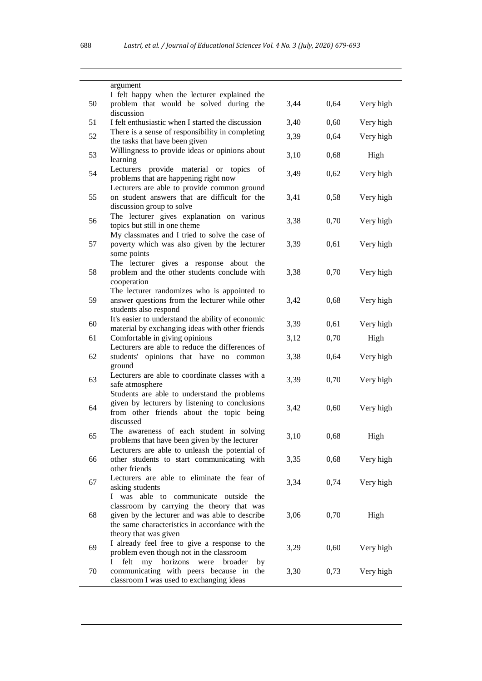|    | argument<br>I felt happy when the lecturer explained the                                                                                                                                                         |      |      |           |
|----|------------------------------------------------------------------------------------------------------------------------------------------------------------------------------------------------------------------|------|------|-----------|
| 50 | problem that would be solved during the                                                                                                                                                                          | 3,44 | 0,64 | Very high |
| 51 | discussion<br>I felt enthusiastic when I started the discussion                                                                                                                                                  | 3,40 | 0,60 | Very high |
| 52 | There is a sense of responsibility in completing<br>the tasks that have been given                                                                                                                               | 3,39 | 0,64 | Very high |
| 53 | Willingness to provide ideas or opinions about<br>learning                                                                                                                                                       | 3,10 | 0,68 | High      |
| 54 | Lecturers provide material or topics<br>of<br>problems that are happening right now                                                                                                                              | 3,49 | 0,62 | Very high |
| 55 | Lecturers are able to provide common ground<br>on student answers that are difficult for the<br>discussion group to solve                                                                                        | 3,41 | 0,58 | Very high |
| 56 | The lecturer gives explanation on various<br>topics but still in one theme                                                                                                                                       | 3,38 | 0,70 | Very high |
| 57 | My classmates and I tried to solve the case of<br>poverty which was also given by the lecturer<br>some points                                                                                                    | 3,39 | 0,61 | Very high |
| 58 | The lecturer gives a response about the<br>problem and the other students conclude with<br>cooperation                                                                                                           | 3,38 | 0,70 | Very high |
| 59 | The lecturer randomizes who is appointed to<br>answer questions from the lecturer while other<br>students also respond                                                                                           | 3,42 | 0,68 | Very high |
| 60 | It's easier to understand the ability of economic<br>material by exchanging ideas with other friends                                                                                                             | 3,39 | 0,61 | Very high |
| 61 | Comfortable in giving opinions<br>Lecturers are able to reduce the differences of                                                                                                                                | 3,12 | 0,70 | High      |
| 62 | students' opinions that have no common<br>ground                                                                                                                                                                 | 3,38 | 0,64 | Very high |
| 63 | Lecturers are able to coordinate classes with a<br>safe atmosphere                                                                                                                                               | 3,39 | 0,70 | Very high |
| 64 | Students are able to understand the problems<br>given by lecturers by listening to conclusions<br>from other friends about the topic being<br>discussed                                                          | 3,42 | 0,60 | Very high |
| 65 | The awareness of each student in solving<br>problems that have been given by the lecturer                                                                                                                        | 3,10 | 0,68 | High      |
| 66 | Lecturers are able to unleash the potential of<br>other students to start communicating with<br>other friends                                                                                                    | 3,35 | 0,68 | Very high |
| 67 | Lecturers are able to eliminate the fear of<br>asking students                                                                                                                                                   | 3,34 | 0,74 | Very high |
| 68 | I was able to communicate outside the<br>classroom by carrying the theory that was<br>given by the lecturer and was able to describe<br>the same characteristics in accordance with the<br>theory that was given | 3,06 | 0,70 | High      |
| 69 | I already feel free to give a response to the<br>problem even though not in the classroom                                                                                                                        | 3,29 | 0,60 | Very high |
| 70 | felt my horizons were<br>Ι<br>broader<br>by<br>communicating with peers because in the<br>classroom I was used to exchanging ideas                                                                               | 3,30 | 0,73 | Very high |

 $\overline{\phantom{0}}$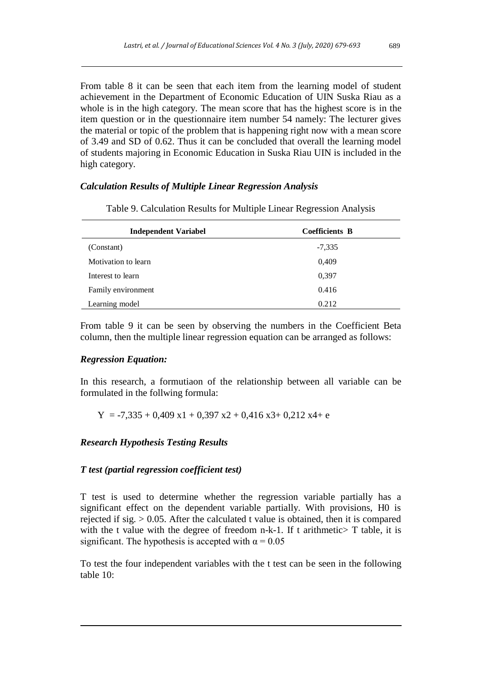From table 8 it can be seen that each item from the learning model of student achievement in the Department of Economic Education of UIN Suska Riau as a whole is in the high category. The mean score that has the highest score is in the item question or in the questionnaire item number 54 namely: The lecturer gives the material or topic of the problem that is happening right now with a mean score of 3.49 and SD of 0.62. Thus it can be concluded that overall the learning model of students majoring in Economic Education in Suska Riau UIN is included in the high category.

# *Calculation Results of Multiple Linear Regression Analysis*

| <b>Independent Variabel</b> | <b>Coefficients B</b> |
|-----------------------------|-----------------------|
| (Constant)                  | $-7,335$              |
| Motivation to learn         | 0,409                 |
| Interest to learn           | 0.397                 |
| Family environment          | 0.416                 |
| Learning model              | 0.212                 |

Table 9. Calculation Results for Multiple Linear Regression Analysis

From table 9 it can be seen by observing the numbers in the Coefficient Beta column, then the multiple linear regression equation can be arranged as follows:

# *Regression Equation:*

In this research, a formutiaon of the relationship between all variable can be formulated in the follwing formula:

 $Y = -7,335 + 0,409 \text{ x}1 + 0,397 \text{ x}2 + 0,416 \text{ x}3 + 0,212 \text{ x}4 + e$ 

# *Research Hypothesis Testing Results*

# *T test (partial regression coefficient test)*

T test is used to determine whether the regression variable partially has a significant effect on the dependent variable partially. With provisions, H0 is rejected if sig.  $> 0.05$ . After the calculated t value is obtained, then it is compared with the t value with the degree of freedom n-k-1. If t arithmetic > T table, it is significant. The hypothesis is accepted with  $\alpha = 0.05$ 

To test the four independent variables with the t test can be seen in the following table 10: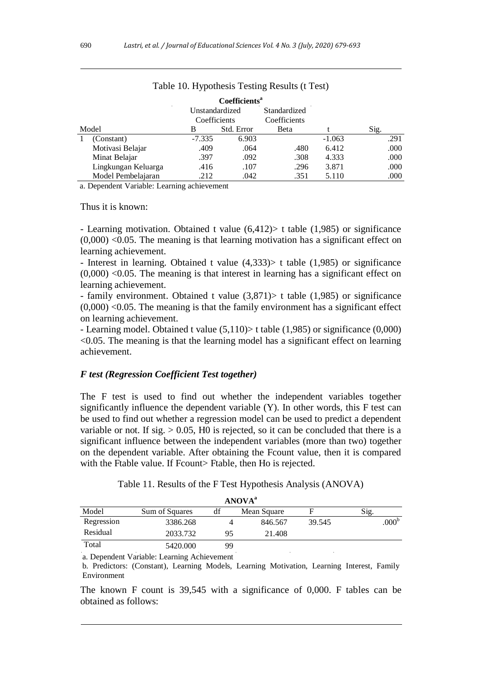|       |                                                                                                                                                                                                                                                                                                  |                | Coefficients <sup>a</sup> |              |          |      |
|-------|--------------------------------------------------------------------------------------------------------------------------------------------------------------------------------------------------------------------------------------------------------------------------------------------------|----------------|---------------------------|--------------|----------|------|
|       |                                                                                                                                                                                                                                                                                                  | Unstandardized |                           | Standardized |          |      |
|       |                                                                                                                                                                                                                                                                                                  | Coefficients   |                           | Coefficients |          |      |
| Model |                                                                                                                                                                                                                                                                                                  | В              | Std. Error                | Beta         |          | Sig. |
|       | (Constant)                                                                                                                                                                                                                                                                                       | $-7.335$       | 6.903                     |              | $-1.063$ | .291 |
|       | Motivasi Belajar                                                                                                                                                                                                                                                                                 | .409           | .064                      | .480         | 6.412    | .000 |
|       | Minat Belajar                                                                                                                                                                                                                                                                                    | .397           | .092                      | .308         | 4.333    | .000 |
|       | Lingkungan Keluarga                                                                                                                                                                                                                                                                              | .416           | .107                      | .296         | 3.871    | .000 |
|       | Model Pembelajaran                                                                                                                                                                                                                                                                               | .212           | .042                      | .351         | 5.110    | .000 |
|       | $\mathbf{D}$ 1.1 $\mathbf{V}$ 1.1 $\mathbf{V}$ 1.1 $\mathbf{V}$ 1.1 $\mathbf{V}$ 1.1 $\mathbf{V}$ 1.1 $\mathbf{V}$ 1.1 $\mathbf{V}$ 1.1 $\mathbf{V}$ 1.1 $\mathbf{V}$ 1.1 $\mathbf{V}$ 1.1 $\mathbf{V}$ 1.1 $\mathbf{V}$ 1.1 $\mathbf{V}$ 1.1 $\mathbf{V}$ 1.1 $\mathbf{V}$ 1.1 $\mathbf{V}$ 1.1 |                |                           |              |          |      |

### Table 10. Hypothesis Testing Results (t Test)

a. Dependent Variable: Learning achievement

Thus it is known:

- Learning motivation. Obtained t value (6,412)> t table (1,985) or significance  $(0,000)$  <0.05. The meaning is that learning motivation has a significant effect on learning achievement.

- Interest in learning. Obtained t value (4,333)> t table (1,985) or significance  $(0,000)$  <0.05. The meaning is that interest in learning has a significant effect on learning achievement.

- family environment. Obtained t value (3,871)> t table (1,985) or significance  $(0,000)$  <0.05. The meaning is that the family environment has a significant effect on learning achievement.

- Learning model. Obtained t value (5,110)> t table (1,985) or significance (0,000)  $< 0.05$ . The meaning is that the learning model has a significant effect on learning achievement.

#### *F test (Regression Coefficient Test together)*

The F test is used to find out whether the independent variables together significantly influence the dependent variable (Y). In other words, this F test can be used to find out whether a regression model can be used to predict a dependent variable or not. If sig.  $> 0.05$ , H0 is rejected, so it can be concluded that there is a significant influence between the independent variables (more than two) together on the dependent variable. After obtaining the Fcount value, then it is compared with the Ftable value. If Fcount> Ftable, then Ho is rejected.

|  |                  | Table 11. Results of the F Test Hypothesis Analysis (ANOVA) |  |
|--|------------------|-------------------------------------------------------------|--|
|  | $1 - 7 - 7 - 19$ |                                                             |  |

| ANOVA <sup>-</sup> |                       |    |             |        |                   |  |
|--------------------|-----------------------|----|-------------|--------|-------------------|--|
| Model              | <b>Sum of Squares</b> | df | Mean Square |        | Sig.              |  |
| Regression         | 3386.268              |    | 846.567     | 39.545 | .000 <sup>b</sup> |  |
| Residual           | 2033.732              | 95 | 21.408      |        |                   |  |
| Total              | 5420.000              | 99 |             |        |                   |  |

a. Dependent Variable: Learning Achievement

b. Predictors: (Constant), Learning Models, Learning Motivation, Learning Interest, Family Environment

The known F count is 39,545 with a significance of 0,000. F tables can be obtained as follows: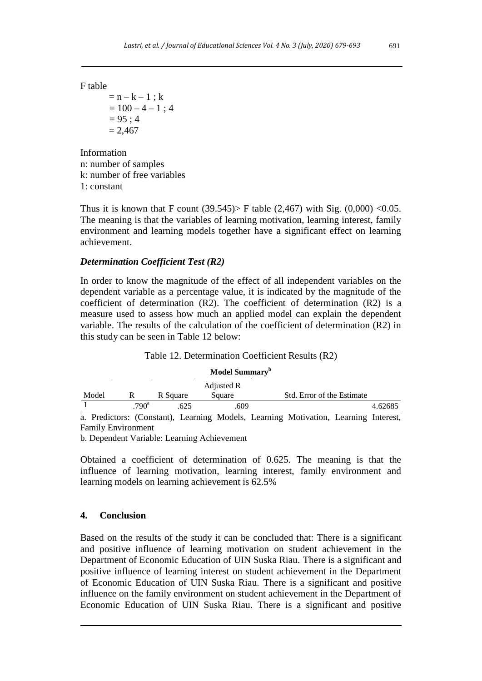F table

 $= n - k - 1$ ; k  $= 100 - 4 - 1$ ; 4  $= 95 : 4$  $= 2.467$ 

Information n: number of samples k: number of free variables 1: constant

Thus it is known that F count  $(39.545)$  F table  $(2,467)$  with Sig.  $(0,000)$  < 0.05. The meaning is that the variables of learning motivation, learning interest, family environment and learning models together have a significant effect on learning achievement.

# *Determination Coefficient Test (R2)*

In order to know the magnitude of the effect of all independent variables on the dependent variable as a percentage value, it is indicated by the magnitude of the coefficient of determination (R2). The coefficient of determination (R2) is a measure used to assess how much an applied model can explain the dependent variable. The results of the calculation of the coefficient of determination (R2) in this study can be seen in Table 12 below:

| Model Summary <sup>b</sup> |               |          |                                                                                     |  |                            |  |         |
|----------------------------|---------------|----------|-------------------------------------------------------------------------------------|--|----------------------------|--|---------|
|                            |               |          | Adjusted R                                                                          |  |                            |  |         |
| Model                      |               | R Square | Square                                                                              |  | Std. Error of the Estimate |  |         |
|                            | $790^{\circ}$ | .625     | .609                                                                                |  |                            |  | 4.62685 |
|                            |               |          | a. Predictors: (Constant), Learning Models, Learning Motivation, Learning Interest, |  |                            |  |         |

Table 12. Determination Coefficient Results (R2)

Family Environment

b. Dependent Variable: Learning Achievement

Obtained a coefficient of determination of 0.625. The meaning is that the influence of learning motivation, learning interest, family environment and learning models on learning achievement is 62.5%

# **4. Conclusion**

Based on the results of the study it can be concluded that: There is a significant and positive influence of learning motivation on student achievement in the Department of Economic Education of UIN Suska Riau. There is a significant and positive influence of learning interest on student achievement in the Department of Economic Education of UIN Suska Riau. There is a significant and positive influence on the family environment on student achievement in the Department of Economic Education of UIN Suska Riau. There is a significant and positive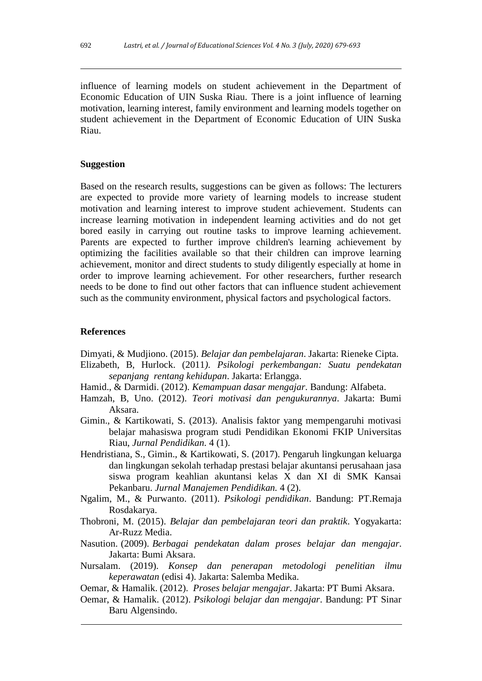influence of learning models on student achievement in the Department of Economic Education of UIN Suska Riau. There is a joint influence of learning motivation, learning interest, family environment and learning models together on student achievement in the Department of Economic Education of UIN Suska Riau.

# **Suggestion**

Based on the research results, suggestions can be given as follows: The lecturers are expected to provide more variety of learning models to increase student motivation and learning interest to improve student achievement. Students can increase learning motivation in independent learning activities and do not get bored easily in carrying out routine tasks to improve learning achievement. Parents are expected to further improve children's learning achievement by optimizing the facilities available so that their children can improve learning achievement, monitor and direct students to study diligently especially at home in order to improve learning achievement. For other researchers, further research needs to be done to find out other factors that can influence student achievement such as the community environment, physical factors and psychological factors.

#### **References**

Dimyati, & Mudjiono. (2015). *Belajar dan pembelajaran*. Jakarta: Rieneke Cipta.

- Elizabeth, B, Hurlock. (2011*). Psikologi perkembangan: Suatu pendekatan sepanjang rentang kehidupan*. Jakarta: Erlangga.
- Hamid., & Darmidi. (2012). *Kemampuan dasar mengajar*. Bandung: Alfabeta.
- Hamzah, B, Uno. (2012). *Teori motivasi dan pengukurannya*. Jakarta: Bumi Aksara.
- Gimin., & Kartikowati, S. (2013). Analisis faktor yang mempengaruhi motivasi belajar mahasiswa program studi Pendidikan Ekonomi FKIP Universitas Riau, *Jurnal Pendidikan.* 4 (1).
- Hendristiana, S., Gimin., & Kartikowati, S. (2017). Pengaruh lingkungan keluarga dan lingkungan sekolah terhadap prestasi belajar akuntansi perusahaan jasa siswa program keahlian akuntansi kelas X dan XI di SMK Kansai Pekanbaru. *Jurnal Manajemen Pendidikan.* 4 (2).
- Ngalim, M., & Purwanto. (2011). *Psikologi pendidikan*. Bandung: PT.Remaja Rosdakarya.
- Thobroni, M. (2015). *Belajar dan pembelajaran teori dan praktik*. Yogyakarta: Ar-Ruzz Media.
- Nasution. (2009). *Berbagai pendekatan dalam proses belajar dan mengajar*. Jakarta: Bumi Aksara.
- Nursalam. (2019). *Konsep dan penerapan metodologi penelitian ilmu keperawatan* (edisi 4). Jakarta: Salemba Medika.
- Oemar, & Hamalik. (2012). *Proses belajar mengajar*. Jakarta: PT Bumi Aksara.
- Oemar, & Hamalik. (2012). *Psikologi belajar dan mengajar*. Bandung: PT Sinar Baru Algensindo.